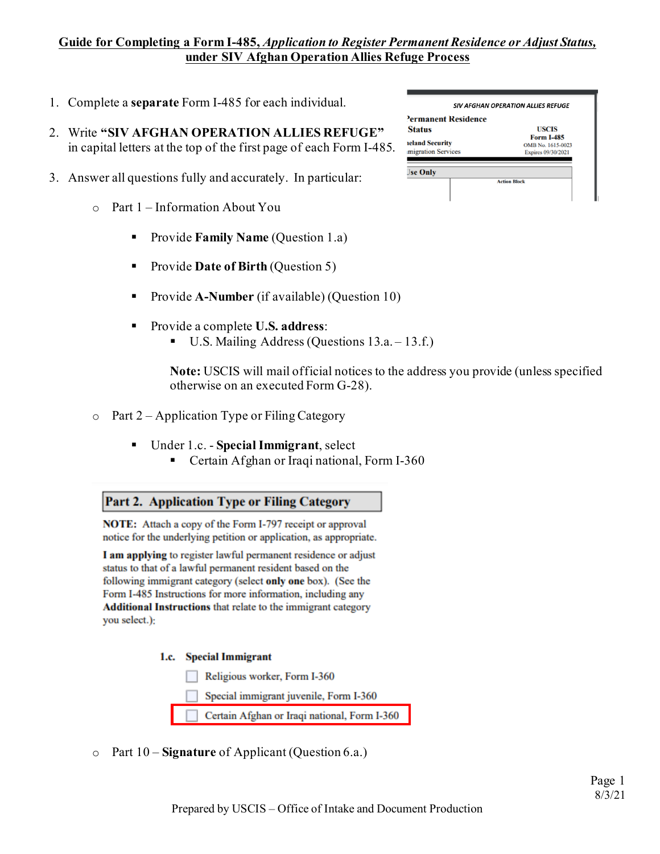## **Guide for Completing a Form I-485,** *Application to Register Permanent Residence or Adjust Status,* **under SIV Afghan Operation Allies Refuge Process**

- 1. Complete a **separate** Form I-485 for each individual.
- 2. Write **"SIV AFGHAN OPERATION ALLIES REFUGE"** in capital letters at the top of the first page of each Form I-485.
- 3. Answer all questions fully and accurately. In particular:
	- o Part 1 Information About You
		- **Provide Family Name** (Question 1.a)
		- Provide **Date of Birth** (Question 5)
		- Provide **A-Number** (if available) (Question 10)
		- Provide a complete **U.S. address**:
			- U.S. Mailing Address (Questions 13.a. 13.f.)

**Note:** USCIS will mail official notices to the address you provide (unless specified otherwise on an executed Form G-28).

- $\circ$  Part 2 Application Type or Filing Category
	- Under 1.c. **Special Immigrant**, select
		- **Certain Afghan or Iraqi national, Form I-360**

Part 2. Application Type or Filing Category

**NOTE:** Attach a copy of the Form I-797 receipt or approval notice for the underlying petition or application, as appropriate.

I am applying to register lawful permanent residence or adjust status to that of a lawful permanent resident based on the following immigrant category (select only one box). (See the Form I-485 Instructions for more information, including any **Additional Instructions** that relate to the immigrant category you select.):

1.c. Special Immigrant

Religious worker, Form I-360

Special immigrant juvenile, Form I-360

Certain Afghan or Iraqi national, Form I-360

o Part 10 – **Signature** of Applicant (Question 6.a.)

| Permanent Residence    |                                        |
|------------------------|----------------------------------------|
| <b>Status</b>          | <b>USCIS</b>                           |
| <b>reland Security</b> | <b>Form I-485</b><br>OMB No. 1615-0023 |
| migration Services     | Expires 09/30/2021                     |
| <b>Jse Only</b>        |                                        |
|                        | <b>Action Block</b>                    |